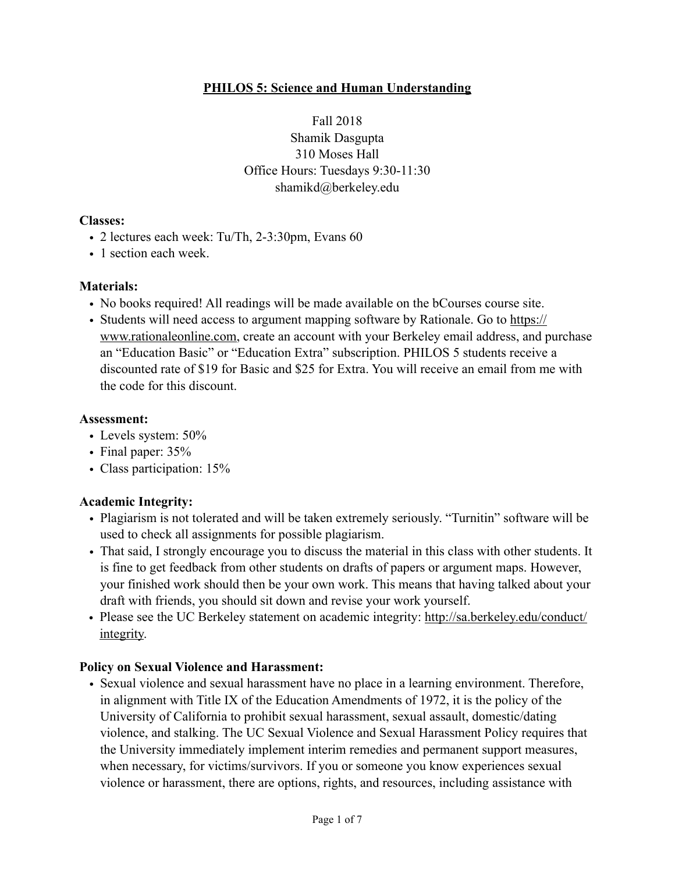#### **PHILOS 5: Science and Human Understanding**

Fall 2018 Shamik Dasgupta 310 Moses Hall Office Hours: Tuesdays 9:30-11:30 shamikd@berkeley.edu

#### **Classes:**

- 2 lectures each week: Tu/Th, 2-3:30pm, Evans 60
- 1 section each week.

#### **Materials:**

- No books required! All readings will be made available on the bCourses course site.
- [Students will need access to argument mapping software by Rationale. Go to https://](https://www.rationaleonline.com) www.rationaleonline.com, create an account with your Berkeley email address, and purchase an "Education Basic" or "Education Extra" subscription. PHILOS 5 students receive a discounted rate of \$19 for Basic and \$25 for Extra. You will receive an email from me with the code for this discount.

#### **Assessment:**

- Levels system: 50%
- Final paper:  $35%$
- Class participation: 15%

#### **Academic Integrity:**

- Plagiarism is not tolerated and will be taken extremely seriously. "Turnitin" software will be used to check all assignments for possible plagiarism.
- That said, I strongly encourage you to discuss the material in this class with other students. It is fine to get feedback from other students on drafts of papers or argument maps. However, your finished work should then be your own work. This means that having talked about your draft with friends, you should sit down and revise your work yourself.
- [Please see the UC Berkeley statement on academic integrity: http://sa.berkeley.edu/conduct/](http://sa.berkeley.edu/conduct/integrity) integrity.

#### **Policy on Sexual Violence and Harassment:**

• Sexual violence and sexual harassment have no place in a learning environment. Therefore, in alignment with Title IX of the Education Amendments of 1972, it is the policy of the University of California to prohibit sexual harassment, sexual assault, domestic/dating violence, and stalking. The UC Sexual Violence and Sexual Harassment Policy requires that the University immediately implement interim remedies and permanent support measures, when necessary, for victims/survivors. If you or someone you know experiences sexual violence or harassment, there are options, rights, and resources, including assistance with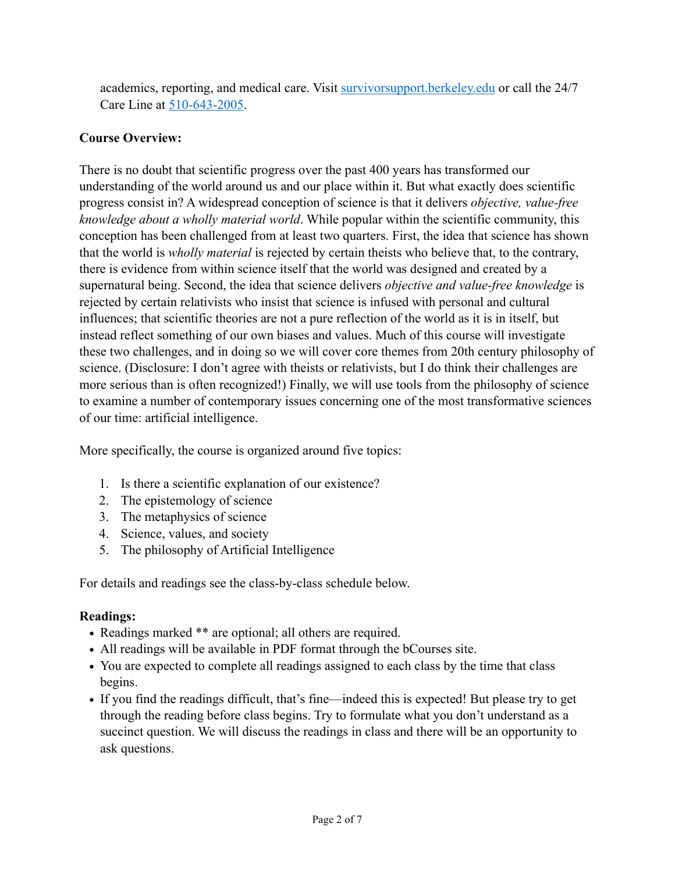academics, reporting, and medical care. Visit [survivorsupport.berkeley.edu](http://survivorsupport.berkeley.edu/) or call the 24/7 Care Line at 510-643-2005.

### **Course Overview:**

There is no doubt that scientific progress over the past 400 years has transformed our understanding of the world around us and our place within it. But what exactly does scientific progress consist in? A widespread conception of science is that it delivers *objective, value-free knowledge about a wholly material world*. While popular within the scientific community, this conception has been challenged from at least two quarters. First, the idea that science has shown that the world is *wholly material* is rejected by certain theists who believe that, to the contrary, there is evidence from within science itself that the world was designed and created by a supernatural being. Second, the idea that science delivers *objective and value-free knowledge* is rejected by certain relativists who insist that science is infused with personal and cultural influences; that scientific theories are not a pure reflection of the world as it is in itself, but instead reflect something of our own biases and values. Much of this course will investigate these two challenges, and in doing so we will cover core themes from 20th century philosophy of science. (Disclosure: I don't agree with theists or relativists, but I do think their challenges are more serious than is often recognized!) Finally, we will use tools from the philosophy of science to examine a number of contemporary issues concerning one of the most transformative sciences of our time: artificial intelligence.

More specifically, the course is organized around five topics:

- 1. Is there a scientific explanation of our existence?
- 2. The epistemology of science
- 3. The metaphysics of science
- 4. Science, values, and society
- 5. The philosophy of Artificial Intelligence

For details and readings see the class-by-class schedule below.

### **Readings:**

- *•* Readings marked \*\* are optional; all others are required.
- *•* All readings will be available in PDF format through the bCourses site.
- You are expected to complete all readings assigned to each class by the time that class begins.
- If you find the readings difficult, that's fine—indeed this is expected! But please try to get through the reading before class begins. Try to formulate what you don't understand as a succinct question. We will discuss the readings in class and there will be an opportunity to ask questions.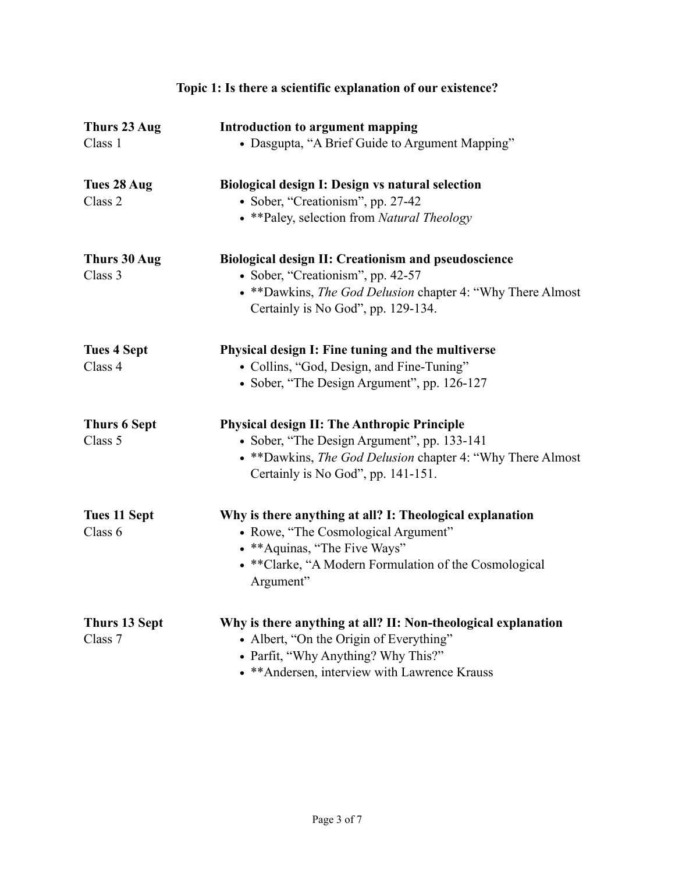| Thurs 23 Aug         | Introduction to argument mapping                              |
|----------------------|---------------------------------------------------------------|
| Class 1              | • Dasgupta, "A Brief Guide to Argument Mapping"               |
| Tues 28 Aug          | Biological design I: Design vs natural selection              |
| Class 2              | · Sober, "Creationism", pp. 27-42                             |
|                      | • ** Paley, selection from Natural Theology                   |
| Thurs 30 Aug         | <b>Biological design II: Creationism and pseudoscience</b>    |
| Class 3              | • Sober, "Creationism", pp. 42-57                             |
|                      | • ** Dawkins, The God Delusion chapter 4: "Why There Almost   |
|                      | Certainly is No God", pp. 129-134.                            |
| <b>Tues 4 Sept</b>   | Physical design I: Fine tuning and the multiverse             |
| Class 4              | • Collins, "God, Design, and Fine-Tuning"                     |
|                      | • Sober, "The Design Argument", pp. 126-127                   |
| <b>Thurs 6 Sept</b>  | <b>Physical design II: The Anthropic Principle</b>            |
| Class 5              | • Sober, "The Design Argument", pp. 133-141                   |
|                      | • ** Dawkins, The God Delusion chapter 4: "Why There Almost   |
|                      | Certainly is No God", pp. 141-151.                            |
| <b>Tues 11 Sept</b>  | Why is there anything at all? I: Theological explanation      |
| Class 6              | • Rowe, "The Cosmological Argument"                           |
|                      | • ** Aquinas, "The Five Ways"                                 |
|                      | • ** Clarke, "A Modern Formulation of the Cosmological        |
|                      | Argument"                                                     |
| <b>Thurs 13 Sept</b> | Why is there anything at all? II: Non-theological explanation |
| Class 7              | • Albert, "On the Origin of Everything"                       |
|                      | • Parfit, "Why Anything? Why This?"                           |
|                      | • ** Andersen, interview with Lawrence Krauss                 |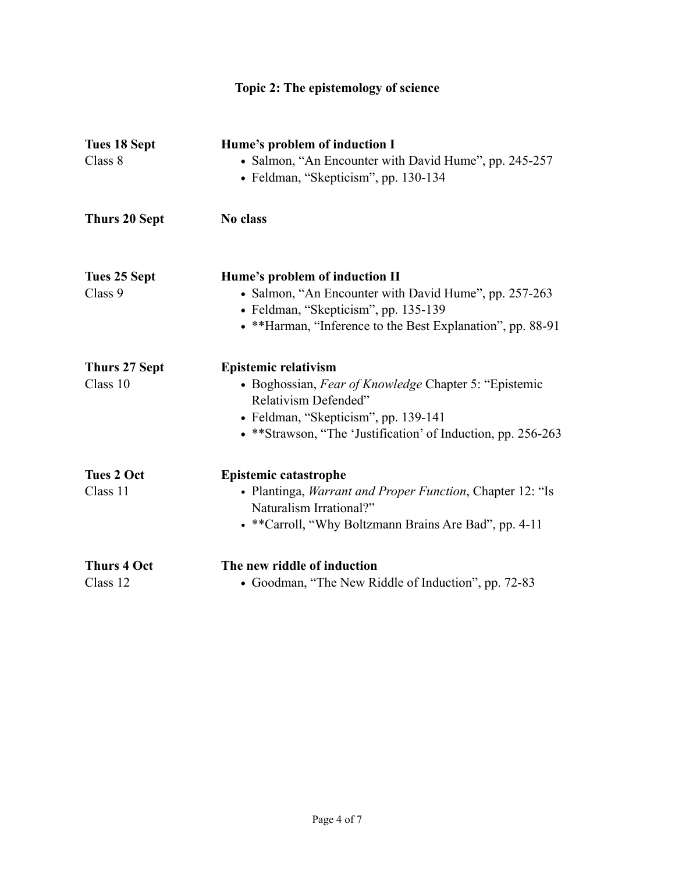# **Topic 2: The epistemology of science**

| <b>Tues 18 Sept</b><br>Class 8 | Hume's problem of induction I<br>• Salmon, "An Encounter with David Hume", pp. 245-257<br>• Feldman, "Skepticism", pp. 130-134                                                                                        |
|--------------------------------|-----------------------------------------------------------------------------------------------------------------------------------------------------------------------------------------------------------------------|
| <b>Thurs 20 Sept</b>           | No class                                                                                                                                                                                                              |
| Tues 25 Sept<br>Class 9        | Hume's problem of induction II<br>• Salmon, "An Encounter with David Hume", pp. 257-263<br>• Feldman, "Skepticism", pp. 135-139<br>• **Harman, "Inference to the Best Explanation", pp. 88-91                         |
| Thurs 27 Sept<br>Class 10      | <b>Epistemic relativism</b><br>• Boghossian, Fear of Knowledge Chapter 5: "Epistemic"<br>Relativism Defended"<br>• Feldman, "Skepticism", pp. 139-141<br>• **Strawson, "The 'Justification' of Induction, pp. 256-263 |
| <b>Tues 2 Oct</b><br>Class 11  | <b>Epistemic catastrophe</b><br>• Plantinga, <i>Warrant and Proper Function</i> , Chapter 12: "Is<br>Naturalism Irrational?"<br>• ** Carroll, "Why Boltzmann Brains Are Bad", pp. 4-11                                |
| <b>Thurs 4 Oct</b><br>Class 12 | The new riddle of induction<br>• Goodman, "The New Riddle of Induction", pp. 72-83                                                                                                                                    |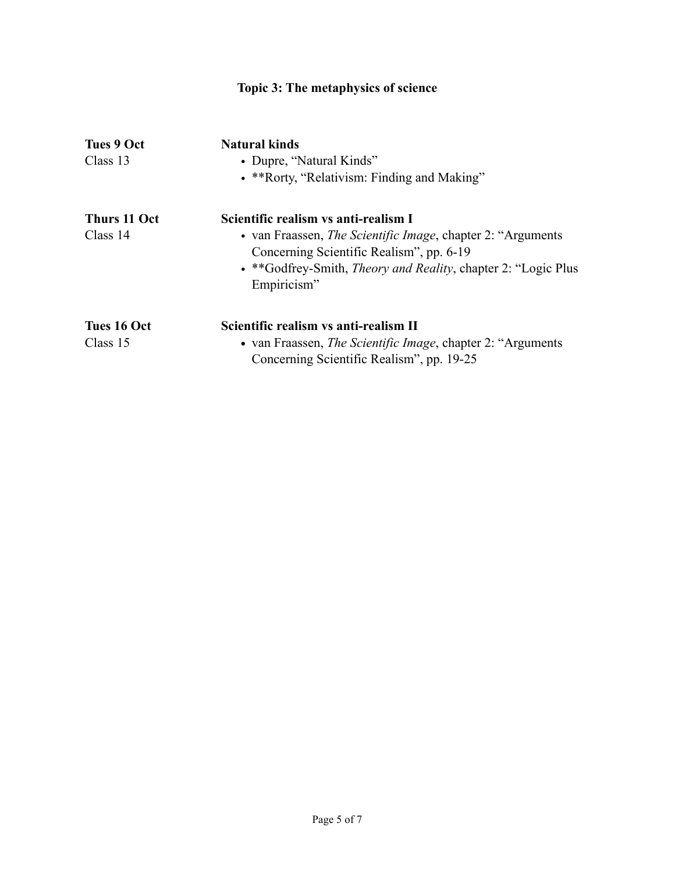| Topic 3: The metaphysics of science |                                                                       |  |
|-------------------------------------|-----------------------------------------------------------------------|--|
| <b>Tues 9 Oct</b>                   | <b>Natural kinds</b>                                                  |  |
| Class 13                            | • Dupre, "Natural Kinds"                                              |  |
|                                     | • **Rorty, "Relativism: Finding and Making"                           |  |
| Thurs 11 Oct                        | Scientific realism vs anti-realism I                                  |  |
| Class 14                            | • van Fraassen, <i>The Scientific Image</i> , chapter 2: "Arguments"  |  |
|                                     | Concerning Scientific Realism", pp. 6-19                              |  |
|                                     | • **Godfrey-Smith, <i>Theory and Reality</i> , chapter 2: "Logic Plus |  |
|                                     | Empiricism"                                                           |  |
| Tues 16 Oct                         | Scientific realism vs anti-realism II                                 |  |
| Class 15                            | • van Fraassen, <i>The Scientific Image</i> , chapter 2: "Arguments"  |  |
|                                     | Concerning Scientific Realism", pp. 19-25                             |  |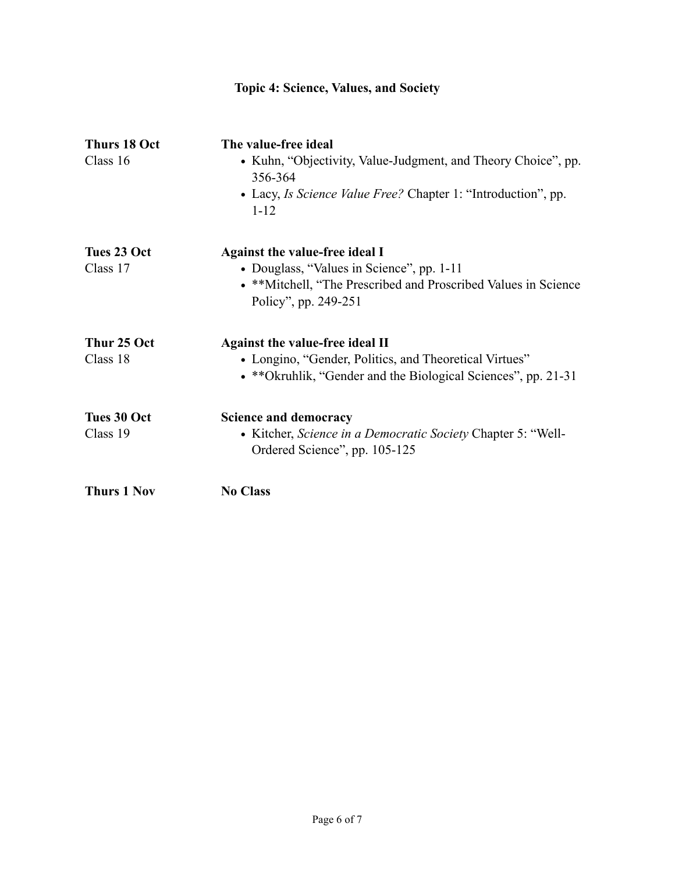| <b>Topic 4: Science, Values, and Society</b> |                                                                                                                                                                               |  |
|----------------------------------------------|-------------------------------------------------------------------------------------------------------------------------------------------------------------------------------|--|
| <b>Thurs 18 Oct</b><br>Class 16              | The value-free ideal<br>• Kuhn, "Objectivity, Value-Judgment, and Theory Choice", pp.<br>356-364<br>• Lacy, Is Science Value Free? Chapter 1: "Introduction", pp.<br>$1 - 12$ |  |
| Tues 23 Oct<br>Class 17                      | Against the value-free ideal I<br>• Douglass, "Values in Science", pp. 1-11<br>• **Mitchell, "The Prescribed and Proscribed Values in Science<br>Policy", pp. 249-251         |  |
| Thur 25 Oct<br>Class 18                      | Against the value-free ideal II<br>• Longino, "Gender, Politics, and Theoretical Virtues"<br>• **Okruhlik, "Gender and the Biological Sciences", pp. 21-31                    |  |
| <b>Tues 30 Oct</b><br>Class 19               | <b>Science and democracy</b><br>• Kitcher, Science in a Democratic Society Chapter 5: "Well-<br>Ordered Science", pp. 105-125                                                 |  |
| <b>Thurs 1 Nov</b>                           | <b>No Class</b>                                                                                                                                                               |  |